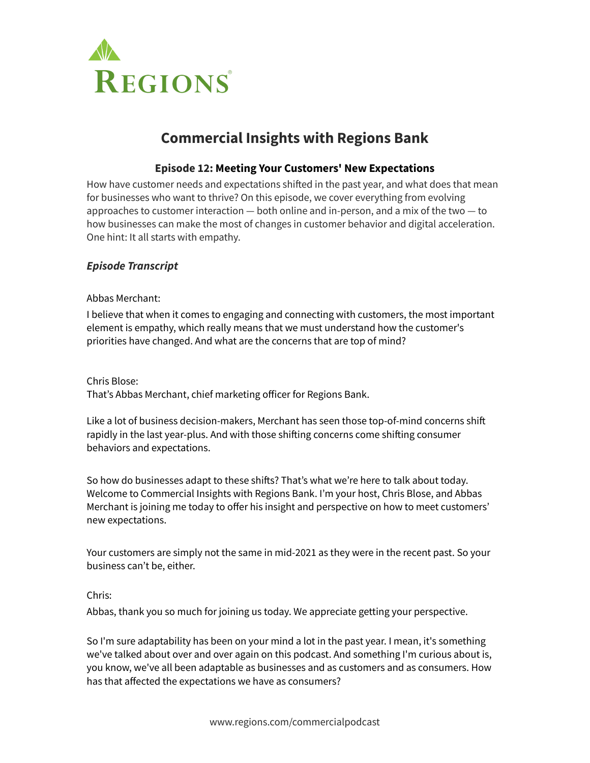

# **Commercial Insights with Regions Bank**

# **Episode 12: Meeting Your Customers' New Expectations**

How have customer needs and expectations shifted in the past year, and what does that mean for businesses who want to thrive? On this episode, we cover everything from evolving approaches to customer interaction — both online and in-person, and a mix of the two — to how businesses can make the most of changes in customer behavior and digital acceleration. One hint: It all starts with empathy.

# *Episode Transcript*

Abbas Merchant:

I believe that when it comes to engaging and connecting with customers, the most important element is empathy, which really means that we must understand how the customer's priorities have changed. And what are the concerns that are top of mind?

Chris Blose:

That's Abbas Merchant, chief marketing officer for Regions Bank.

Like a lot of business decision-makers, Merchant has seen those top-of-mind concerns shift rapidly in the last year-plus. And with those shifting concerns come shifting consumer behaviors and expectations.

So how do businesses adapt to these shifts? That's what we're here to talk about today. Welcome to Commercial Insights with Regions Bank. I'm your host, Chris Blose, and Abbas Merchant is joining me today to offer his insight and perspective on how to meet customers' new expectations.

Your customers are simply not the same in mid-2021 as they were in the recent past. So your business can't be, either.

# Chris:

Abbas, thank you so much for joining us today. We appreciate getting your perspective.

So I'm sure adaptability has been on your mind a lot in the past year. I mean, it's something we've talked about over and over again on this podcast. And something I'm curious about is, you know, we've all been adaptable as businesses and as customers and as consumers. How has that affected the expectations we have as consumers?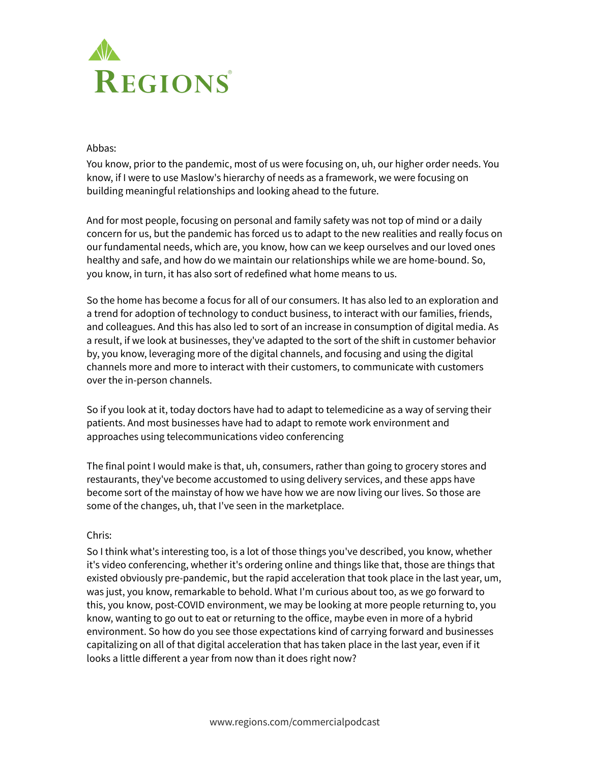

### Abbas:

You know, prior to the pandemic, most of us were focusing on, uh, our higher order needs. You know, if I were to use Maslow's hierarchy of needs as a framework, we were focusing on building meaningful relationships and looking ahead to the future.

And for most people, focusing on personal and family safety was not top of mind or a daily concern for us, but the pandemic has forced us to adapt to the new realities and really focus on our fundamental needs, which are, you know, how can we keep ourselves and our loved ones healthy and safe, and how do we maintain our relationships while we are home-bound. So, you know, in turn, it has also sort of redefined what home means to us.

So the home has become a focus for all of our consumers. It has also led to an exploration and a trend for adoption of technology to conduct business, to interact with our families, friends, and colleagues. And this has also led to sort of an increase in consumption of digital media. As a result, if we look at businesses, they've adapted to the sort of the shift in customer behavior by, you know, leveraging more of the digital channels, and focusing and using the digital channels more and more to interact with their customers, to communicate with customers over the in-person channels.

So if you look at it, today doctors have had to adapt to telemedicine as a way of serving their patients. And most businesses have had to adapt to remote work environment and approaches using telecommunications video conferencing

The final point I would make is that, uh, consumers, rather than going to grocery stores and restaurants, they've become accustomed to using delivery services, and these apps have become sort of the mainstay of how we have how we are now living our lives. So those are some of the changes, uh, that I've seen in the marketplace.

# Chris:

So I think what's interesting too, is a lot of those things you've described, you know, whether it's video conferencing, whether it's ordering online and things like that, those are things that existed obviously pre-pandemic, but the rapid acceleration that took place in the last year, um, was just, you know, remarkable to behold. What I'm curious about too, as we go forward to this, you know, post-COVID environment, we may be looking at more people returning to, you know, wanting to go out to eat or returning to the office, maybe even in more of a hybrid environment. So how do you see those expectations kind of carrying forward and businesses capitalizing on all of that digital acceleration that has taken place in the last year, even if it looks a little different a year from now than it does right now?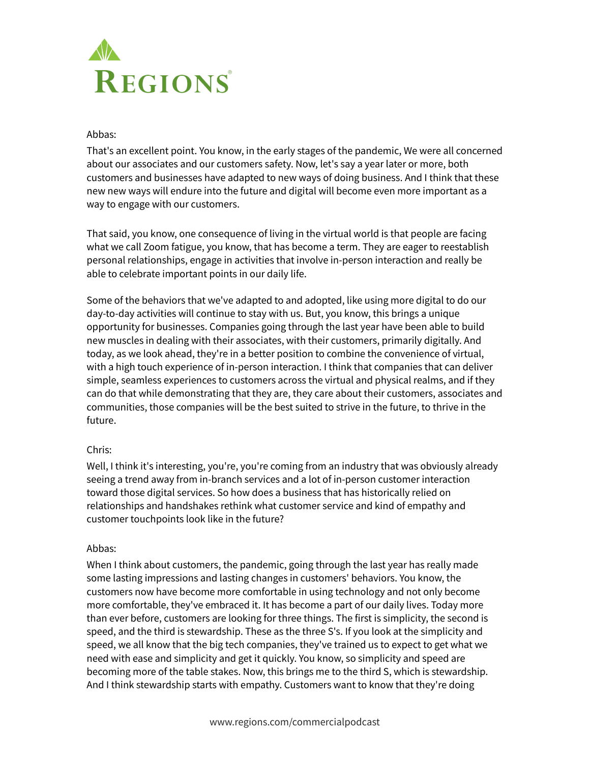

### Abbas:

That's an excellent point. You know, in the early stages of the pandemic, We were all concerned about our associates and our customers safety. Now, let's say a year later or more, both customers and businesses have adapted to new ways of doing business. And I think that these new new ways will endure into the future and digital will become even more important as a way to engage with our customers.

That said, you know, one consequence of living in the virtual world is that people are facing what we call Zoom fatigue, you know, that has become a term. They are eager to reestablish personal relationships, engage in activities that involve in-person interaction and really be able to celebrate important points in our daily life.

Some of the behaviors that we've adapted to and adopted, like using more digital to do our day-to-day activities will continue to stay with us. But, you know, this brings a unique opportunity for businesses. Companies going through the last year have been able to build new muscles in dealing with their associates, with their customers, primarily digitally. And today, as we look ahead, they're in a better position to combine the convenience of virtual, with a high touch experience of in-person interaction. I think that companies that can deliver simple, seamless experiences to customers across the virtual and physical realms, and if they can do that while demonstrating that they are, they care about their customers, associates and communities, those companies will be the best suited to strive in the future, to thrive in the future.

# Chris:

Well, I think it's interesting, you're, you're coming from an industry that was obviously already seeing a trend away from in-branch services and a lot of in-person customer interaction toward those digital services. So how does a business that has historically relied on relationships and handshakes rethink what customer service and kind of empathy and customer touchpoints look like in the future?

#### Abbas:

When I think about customers, the pandemic, going through the last year has really made some lasting impressions and lasting changes in customers' behaviors. You know, the customers now have become more comfortable in using technology and not only become more comfortable, they've embraced it. It has become a part of our daily lives. Today more than ever before, customers are looking for three things. The first is simplicity, the second is speed, and the third is stewardship. These as the three S's. If you look at the simplicity and speed, we all know that the big tech companies, they've trained us to expect to get what we need with ease and simplicity and get it quickly. You know, so simplicity and speed are becoming more of the table stakes. Now, this brings me to the third S, which is stewardship. And I think stewardship starts with empathy. Customers want to know that they're doing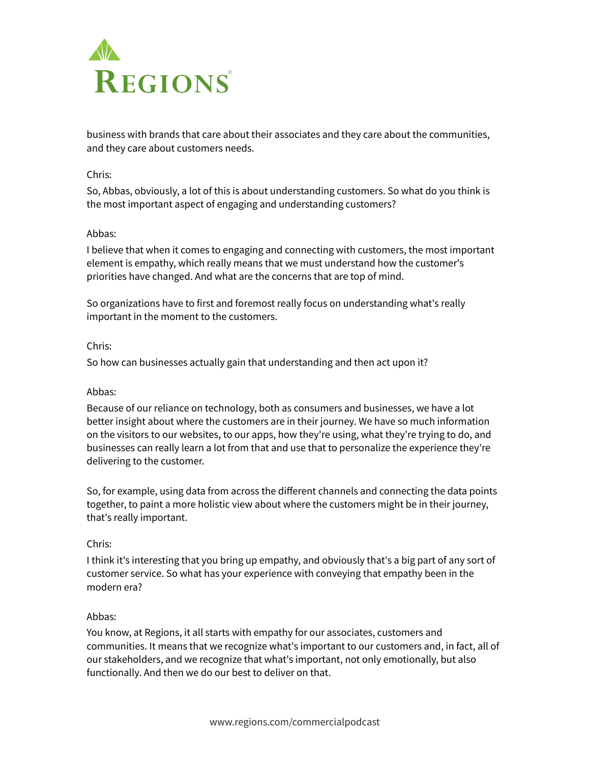

business with brands that care about their associates and they care about the communities, and they care about customers needs.

# Chris:

So, Abbas, obviously, a lot of this is about understanding customers. So what do you think is the most important aspect of engaging and understanding customers?

## Abbas:

I believe that when it comes to engaging and connecting with customers, the most important element is empathy, which really means that we must understand how the customer's priorities have changed. And what are the concerns that are top of mind.

So organizations have to first and foremost really focus on understanding what's really important in the moment to the customers.

## Chris:

So how can businesses actually gain that understanding and then act upon it?

# Abbas:

Because of our reliance on technology, both as consumers and businesses, we have a lot better insight about where the customers are in their journey. We have so much information on the visitors to our websites, to our apps, how they're using, what they're trying to do, and businesses can really learn a lot from that and use that to personalize the experience they're delivering to the customer.

So, for example, using data from across the different channels and connecting the data points together, to paint a more holistic view about where the customers might be in their journey, that's really important.

#### Chris:

I think it's interesting that you bring up empathy, and obviously that's a big part of any sort of customer service. So what has your experience with conveying that empathy been in the modern era?

#### Abbas:

You know, at Regions, it all starts with empathy for our associates, customers and communities. It means that we recognize what's important to our customers and, in fact, all of our stakeholders, and we recognize that what's important, not only emotionally, but also functionally. And then we do our best to deliver on that.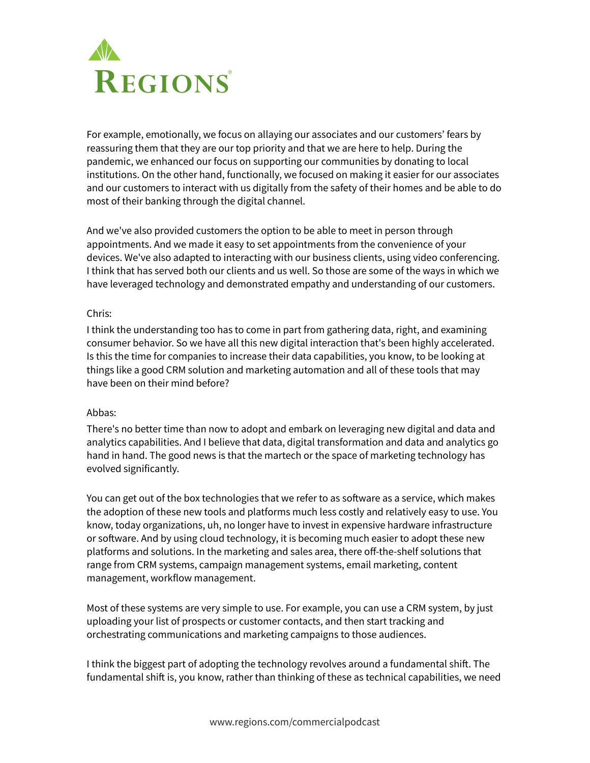

For example, emotionally, we focus on allaying our associates and our customers' fears by reassuring them that they are our top priority and that we are here to help. During the pandemic, we enhanced our focus on supporting our communities by donating to local institutions. On the other hand, functionally, we focused on making it easier for our associates and our customers to interact with us digitally from the safety of their homes and be able to do most of their banking through the digital channel.

And we've also provided customers the option to be able to meet in person through appointments. And we made it easy to set appointments from the convenience of your devices. We've also adapted to interacting with our business clients, using video conferencing. I think that has served both our clients and us well. So those are some of the ways in which we have leveraged technology and demonstrated empathy and understanding of our customers.

#### Chris:

I think the understanding too has to come in part from gathering data, right, and examining consumer behavior. So we have all this new digital interaction that's been highly accelerated. Is this the time for companies to increase their data capabilities, you know, to be looking at things like a good CRM solution and marketing automation and all of these tools that may have been on their mind before?

# Abbas:

There's no better time than now to adopt and embark on leveraging new digital and data and analytics capabilities. And I believe that data, digital transformation and data and analytics go hand in hand. The good news is that the martech or the space of marketing technology has evolved significantly.

You can get out of the box technologies that we refer to as software as a service, which makes the adoption of these new tools and platforms much less costly and relatively easy to use. You know, today organizations, uh, no longer have to invest in expensive hardware infrastructure or software. And by using cloud technology, it is becoming much easier to adopt these new platforms and solutions. In the marketing and sales area, there off-the-shelf solutions that range from CRM systems, campaign management systems, email marketing, content management, workflow management.

Most of these systems are very simple to use. For example, you can use a CRM system, by just uploading your list of prospects or customer contacts, and then start tracking and orchestrating communications and marketing campaigns to those audiences.

I think the biggest part of adopting the technology revolves around a fundamental shift. The fundamental shift is, you know, rather than thinking of these as technical capabilities, we need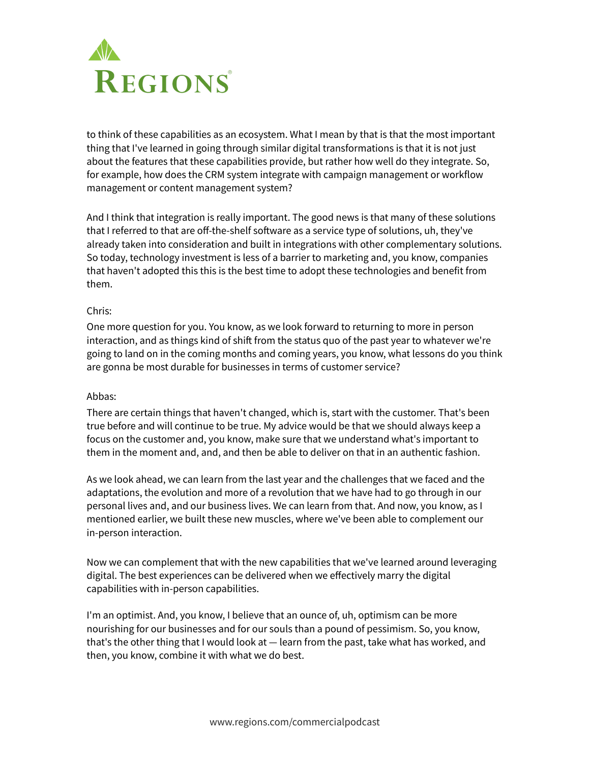

to think of these capabilities as an ecosystem. What I mean by that is that the most important thing that I've learned in going through similar digital transformations is that it is not just about the features that these capabilities provide, but rather how well do they integrate. So, for example, how does the CRM system integrate with campaign management or workflow management or content management system?

And I think that integration is really important. The good news is that many of these solutions that I referred to that are off-the-shelf software as a service type of solutions, uh, they've already taken into consideration and built in integrations with other complementary solutions. So today, technology investment is less of a barrier to marketing and, you know, companies that haven't adopted this this is the best time to adopt these technologies and benefit from them.

#### Chris:

One more question for you. You know, as we look forward to returning to more in person interaction, and as things kind of shift from the status quo of the past year to whatever we're going to land on in the coming months and coming years, you know, what lessons do you think are gonna be most durable for businesses in terms of customer service?

#### Abbas:

There are certain things that haven't changed, which is, start with the customer. That's been true before and will continue to be true. My advice would be that we should always keep a focus on the customer and, you know, make sure that we understand what's important to them in the moment and, and, and then be able to deliver on that in an authentic fashion.

As we look ahead, we can learn from the last year and the challenges that we faced and the adaptations, the evolution and more of a revolution that we have had to go through in our personal lives and, and our business lives. We can learn from that. And now, you know, as I mentioned earlier, we built these new muscles, where we've been able to complement our in-person interaction.

Now we can complement that with the new capabilities that we've learned around leveraging digital. The best experiences can be delivered when we effectively marry the digital capabilities with in-person capabilities.

I'm an optimist. And, you know, I believe that an ounce of, uh, optimism can be more nourishing for our businesses and for our souls than a pound of pessimism. So, you know, that's the other thing that I would look at — learn from the past, take what has worked, and then, you know, combine it with what we do best.